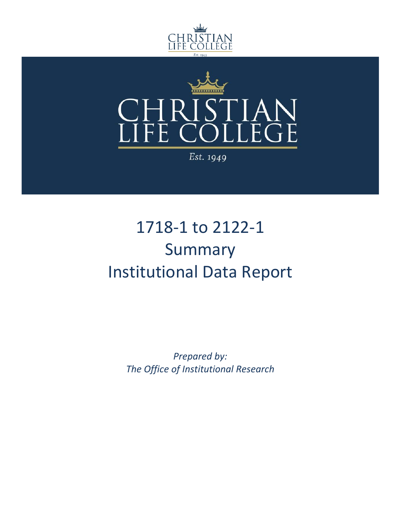



Est. 1949

# 1718-1 to 2122-1 Summary Institutional Data Report

*Prepared by: The Office of Institutional Research*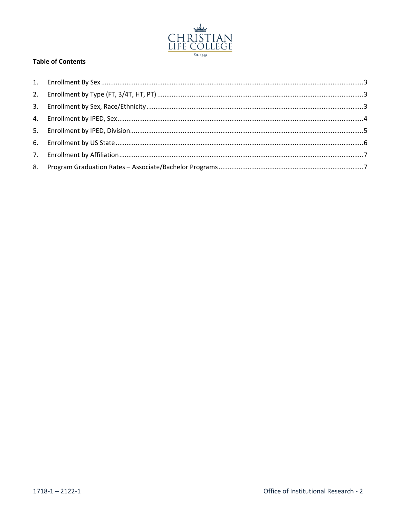

#### **Table of Contents**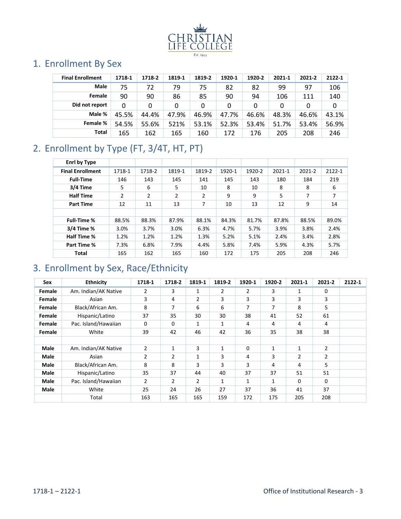

### <span id="page-2-0"></span>1. Enrollment By Sex

| <b>Final Enrollment</b> | 1718-1 | 1718-2 | 1819-1 | 1819-2 | 1920-1 | 1920-2 | 2021-1 | 2021-2 | 2122-1 |
|-------------------------|--------|--------|--------|--------|--------|--------|--------|--------|--------|
| <b>Male</b>             | 75     | 72     | 79     | 75     | 82     | 82     | 99     | 97     | 106    |
| Female                  | 90     | 90     | 86     | 85     | 90     | 94     | 106    | 111    | 140    |
| Did not report          | 0      |        | 0      | 0      | 0      | 0      | 0      | 0      | 0      |
| Male %                  | 45.5%  | 44.4%  | 47.9%  | 46.9%  | 47.7%  | 46.6%  | 48.3%  | 46.6%  | 43.1%  |
| Female %                | 54.5%  | 55.6%  | 521%   | 53.1%  | 52.3%  | 53.4%  | 51.7%  | 53.4%  | 56.9%  |
| Total                   | 165    | 162    | 165    | 160    | 172    | 176    | 205    | 208    | 246    |

## <span id="page-2-1"></span>2. Enrollment by Type (FT, 3/4T, HT, PT)

| Enrl by Type            |        |        |        |        |        |        |        |        |        |
|-------------------------|--------|--------|--------|--------|--------|--------|--------|--------|--------|
| <b>Final Enrollment</b> | 1718-1 | 1718-2 | 1819-1 | 1819-2 | 1920-1 | 1920-2 | 2021-1 | 2021-2 | 2122-1 |
| <b>Full-Time</b>        | 146    | 143    | 145    | 141    | 145    | 143    | 180    | 184    | 219    |
| 3/4 Time                | 5      | 6      | 5      | 10     | 8      | 10     | 8      | 8      | 6      |
| <b>Half Time</b>        | 2      | 2      | 2      | 2      | 9      | 9      | 5      | 7      | 7      |
| <b>Part Time</b>        | 12     | 11     | 13     | 7      | 10     | 13     | 12     | 9      | 14     |
|                         |        |        |        |        |        |        |        |        |        |
| <b>Full-Time %</b>      | 88.5%  | 88.3%  | 87.9%  | 88.1%  | 84.3%  | 81.7%  | 87.8%  | 88.5%  | 89.0%  |
| 3/4 Time %              | 3.0%   | 3.7%   | 3.0%   | 6.3%   | 4.7%   | 5.7%   | 3.9%   | 3.8%   | 2.4%   |
| Half Time %             | 1.2%   | 1.2%   | 1.2%   | 1.3%   | 5.2%   | 5.1%   | 2.4%   | 3.4%   | 2.8%   |
| Part Time %             | 7.3%   | 6.8%   | 7.9%   | 4.4%   | 5.8%   | 7.4%   | 5.9%   | 4.3%   | 5.7%   |
| Total                   | 165    | 162    | 165    | 160    | 172    | 175    | 205    | 208    | 246    |

#### <span id="page-2-2"></span>3. Enrollment by Sex, Race/Ethnicity

| Sex         | <b>Ethnicity</b>     | 1718-1         | 1718-2         | 1819-1         | 1819-2 | 1920-1         | 1920-2       | 2021-1       | 2021-2         | 2122-1 |
|-------------|----------------------|----------------|----------------|----------------|--------|----------------|--------------|--------------|----------------|--------|
| Female      | Am. Indian/AK Native | 2              | 3              | $\mathbf{1}$   | 2      | $\overline{2}$ | 3            | 1            | $\mathbf 0$    |        |
| Female      | Asian                | 3              | 4              | $\overline{2}$ | 3      | 3              | 3            | 3            | 3              |        |
| Female      | Black/African Am.    | 8              | 7              | 6              | 6      | 7              | 7            | 8            | 5              |        |
| Female      | Hispanic/Latino      | 37             | 35             | 30             | 30     | 38             | 41           | 52           | 61             |        |
| Female      | Pac. Island/Hawaiian | 0              | 0              | 1              | 1      | 4              | 4            | 4            | 4              |        |
| Female      | White                | 39             | 42             | 46             | 42     | 36             | 35           | 38           | 38             |        |
|             |                      |                |                |                |        |                |              |              |                |        |
| Male        | Am. Indian/AK Native | $\overline{2}$ | 1              | 3              | 1      | 0              | $\mathbf{1}$ | $\mathbf{1}$ | $\overline{2}$ |        |
| Male        | Asian                | 2              | 2              | 1              | 3      | 4              | 3            | 2            | 2              |        |
| <b>Male</b> | Black/African Am.    | 8              | 8              | 3              | 3      | 3              | 4            | 4            | 5              |        |
| Male        | Hispanic/Latino      | 35             | 37             | 44             | 40     | 37             | 37           | 51           | 51             |        |
| <b>Male</b> | Pac. Island/Hawaiian | $\overline{2}$ | $\overline{2}$ | $\overline{2}$ | 1      | $\mathbf 1$    | $\mathbf{1}$ | $\Omega$     | $\Omega$       |        |
| <b>Male</b> | White                | 25             | 24             | 26             | 27     | 37             | 36           | 41           | 37             |        |
|             | Total                | 163            | 165            | 165            | 159    | 172            | 175          | 205          | 208            |        |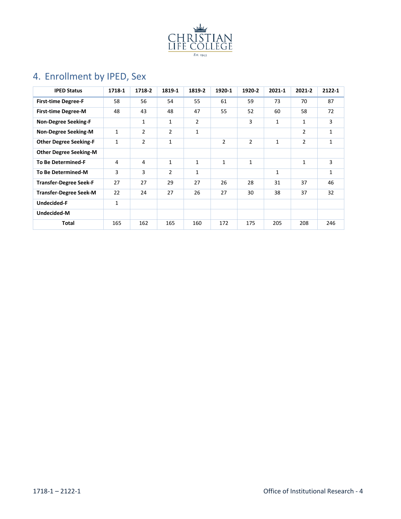

# <span id="page-3-0"></span>4. Enrollment by IPED, Sex

| <b>IPED Status</b>            | 1718-1 | 1718-2         | 1819-1         | 1819-2         | 1920-1         | 1920-2 | 2021-1       | 2021-2         | 2122-1 |
|-------------------------------|--------|----------------|----------------|----------------|----------------|--------|--------------|----------------|--------|
| <b>First-time Degree-F</b>    | 58     | 56             | 54             | 55             | 61             | 59     | 73           | 70             | 87     |
| <b>First-time Degree-M</b>    | 48     | 43             | 48             | 47             | 55             | 52     | 60           | 58             | 72     |
| <b>Non-Degree Seeking-F</b>   |        | 1              | 1              | $\overline{2}$ |                | 3      | 1            | 1              | 3      |
| <b>Non-Degree Seeking-M</b>   | 1      | $\overline{2}$ | 2              | 1              |                |        |              | 2              | 1      |
| <b>Other Degree Seeking-F</b> | 1      | $\overline{2}$ | 1              |                | $\overline{2}$ | 2      | $\mathbf{1}$ | $\overline{2}$ | 1      |
| <b>Other Degree Seeking-M</b> |        |                |                |                |                |        |              |                |        |
| <b>To Be Determined-F</b>     | 4      | 4              | 1              | 1              | $\mathbf{1}$   | 1      |              | 1              | 3      |
| <b>To Be Determined-M</b>     | 3      | 3              | $\overline{2}$ | 1              |                |        | $\mathbf{1}$ |                | 1      |
| <b>Transfer-Degree Seek-F</b> | 27     | 27             | 29             | 27             | 26             | 28     | 31           | 37             | 46     |
| <b>Transfer-Degree Seek-M</b> | 22     | 24             | 27             | 26             | 27             | 30     | 38           | 37             | 32     |
| Undecided-F                   | 1      |                |                |                |                |        |              |                |        |
| Undecided-M                   |        |                |                |                |                |        |              |                |        |
| Total                         | 165    | 162            | 165            | 160            | 172            | 175    | 205          | 208            | 246    |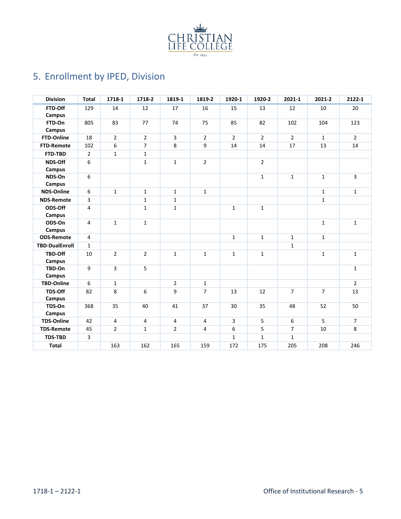

# <span id="page-4-0"></span>5. Enrollment by IPED, Division

| <b>Division</b>       | <b>Total</b>   | 1718-1         | 1718-2         | 1819-1         | 1819-2         | 1920-1         | 1920-2         | 2021-1         | 2021-2         | 2122-1                  |
|-----------------------|----------------|----------------|----------------|----------------|----------------|----------------|----------------|----------------|----------------|-------------------------|
| FTD-Off               | 129            | 14             | 12             | 17             | 16             | 15             | 13             | 12             | 10             | 20                      |
| Campus                |                |                |                |                |                |                |                |                |                |                         |
| FTD-On<br>Campus      | 805            | 83             | 77             | 74             | 75             | 85             | 82             | 102            | 104            | 123                     |
| FTD-Online            | 18             | $\overline{2}$ | $\overline{2}$ | 3              | $\overline{2}$ | $\overline{2}$ | $\overline{2}$ | $\overline{2}$ | $\mathbf{1}$   | $\overline{2}$          |
| <b>FTD-Remote</b>     | 102            | 6              | $\overline{7}$ | 8              | 9              | 14             | 14             | 17             | 13             | 14                      |
| FTD-TBD               | $\overline{2}$ | $\mathbf{1}$   | $\mathbf{1}$   |                |                |                |                |                |                |                         |
| NDS-Off<br>Campus     | 6              |                | $\mathbf{1}$   | $\mathbf{1}$   | $2^{\circ}$    |                | $\overline{2}$ |                |                |                         |
| NDS-On<br>Campus      | 6              |                |                |                |                |                | $\mathbf{1}$   | $\mathbf{1}$   | $\mathbf{1}$   | $\overline{\mathbf{3}}$ |
| <b>NDS-Online</b>     | 6              | $\mathbf{1}$   | $\mathbf{1}$   | $\mathbf{1}$   | $\mathbf{1}$   |                |                |                | $\mathbf{1}$   | $\mathbf{1}$            |
| <b>NDS-Remote</b>     | 3              |                | $\mathbf{1}$   | $\mathbf{1}$   |                |                |                |                | $\mathbf{1}$   |                         |
| ODS-Off<br>Campus     | 4              |                | $\mathbf{1}$   | $\mathbf{1}$   |                | $\mathbf{1}$   | $\mathbf{1}$   |                |                |                         |
| ODS-On<br>Campus      | 4              | $\mathbf{1}$   | $\mathbf{1}$   |                |                |                |                |                | $\mathbf{1}$   | $\mathbf{1}$            |
| <b>ODS-Remote</b>     | $\overline{4}$ |                |                |                |                | $\mathbf{1}$   | $\mathbf{1}$   | $\mathbf{1}$   | $\mathbf{1}$   |                         |
| <b>TBD-DualEnroll</b> | $\mathbf{1}$   |                |                |                |                |                |                | $\mathbf{1}$   |                |                         |
| TBD-Off<br>Campus     | 10             | $\overline{2}$ | $\overline{2}$ | $\mathbf{1}$   | $\mathbf{1}$   | $\mathbf{1}$   | $\mathbf{1}$   |                | $\mathbf{1}$   | $\mathbf{1}$            |
| TBD-On<br>Campus      | 9              | $\overline{3}$ | 5              |                |                |                |                |                |                | $\mathbf{1}$            |
| <b>TBD-Online</b>     | 6              | $\mathbf{1}$   |                | $\overline{2}$ | $\mathbf{1}$   |                |                |                |                | $\overline{2}$          |
| TDS-Off<br>Campus     | 82             | 8              | 6              | 9              | $\overline{7}$ | 13             | 12             | $\overline{7}$ | $\overline{7}$ | 13                      |
| TDS-On<br>Campus      | 368            | 35             | 40             | 41             | 37             | 30             | 35             | 48             | 52             | 50                      |
| <b>TDS-Online</b>     | 42             | 4              | $\overline{4}$ | 4              | 4              | $\overline{3}$ | 5              | 6              | 5              | $\overline{7}$          |
| <b>TDS-Remote</b>     | 45             | $\overline{2}$ | $\mathbf{1}$   | $\overline{2}$ | $\overline{4}$ | 6              | 5              | $\overline{7}$ | 10             | 8                       |
| <b>TDS-TBD</b>        | 3              |                |                |                |                | $\mathbf{1}$   | $\mathbf{1}$   | $\mathbf{1}$   |                |                         |
| <b>Total</b>          |                | 163            | 162            | 165            | 159            | 172            | 175            | 205            | 208            | 246                     |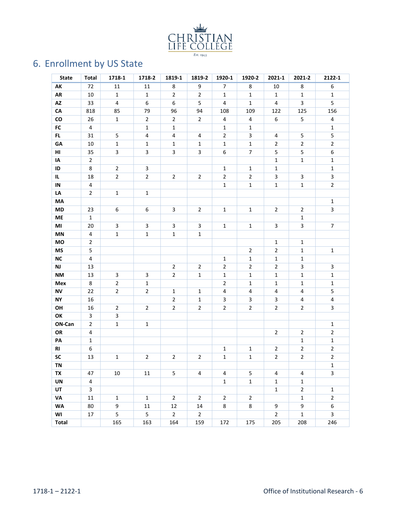

# <span id="page-5-0"></span>6. Enrollment by US State

| <b>State</b>  | <b>Total</b>            | 1718-1                  | 1718-2                  | 1819-1         | 1819-2         | 1920-1         | 1920-2         | 2021-1         | 2021-2         | 2122-1           |
|---------------|-------------------------|-------------------------|-------------------------|----------------|----------------|----------------|----------------|----------------|----------------|------------------|
| AK            | 72                      | 11                      | 11                      | 8              | 9              | $\overline{7}$ | 8              | 10             | $\,8\,$        | 6                |
| ${\sf AR}$    | 10                      | $\mathbf{1}$            | $\mathbf{1}$            | $\overline{2}$ | $\overline{2}$ | $\mathbf{1}$   | $\mathbf{1}$   | $\mathbf{1}$   | $\mathbf{1}$   | $\mathbf{1}$     |
| AZ            | 33                      | $\overline{4}$          | 6                       | 6              | 5              | 4              | $\mathbf 1$    | 4              | 3              | 5                |
| ${\sf CA}$    | 818                     | 85                      | 79                      | 96             | 94             | 108            | 109            | 122            | 125            | 156              |
| ${\rm\bf CO}$ | 26                      | $\mathbf{1}$            | $\overline{2}$          | $\overline{2}$ | $\overline{2}$ | 4              | 4              | 6              | 5              | 4                |
| ${\sf FC}$    | $\overline{4}$          |                         | $\mathbf{1}$            | $\mathbf{1}$   |                | $\mathbf 1$    | $\mathbf{1}$   |                |                | $\mathbf{1}$     |
| FL.           | 31                      | 5                       | 4                       | $\overline{4}$ | 4              | $\overline{2}$ | 3              | 4              | 5              | 5                |
| GA            | 10                      | $\mathbf{1}$            | $\mathbf{1}$            | $\mathbf{1}$   | $\mathbf{1}$   | $\mathbf{1}$   | $\mathbf{1}$   | $\overline{2}$ | $\overline{2}$ | $\overline{2}$   |
| HI            | 35                      | $\overline{\mathbf{3}}$ | 3                       | 3              | 3              | 6              | $\overline{7}$ | 5              | 5              | 6                |
| IA            | $\overline{2}$          |                         |                         |                |                |                |                | $\mathbf{1}$   | $\mathbf{1}$   | $\mathbf{1}$     |
| ID            | 8                       | $\overline{2}$          | 3                       |                |                | $\mathbf{1}$   | $\mathbf{1}$   | $\mathbf{1}$   |                | $\mathbf 1$      |
| IL.           | 18                      | $\overline{2}$          | $\overline{2}$          | $\overline{2}$ | $\overline{2}$ | $\overline{2}$ | $\overline{2}$ | 3              | 3              | 3                |
| IN            | 4                       |                         |                         |                |                | $\mathbf 1$    | $\mathbf{1}$   | $\mathbf{1}$   | $\mathbf{1}$   | $\overline{2}$   |
| LA            | $\overline{2}$          | $\mathbf{1}$            | $\mathbf{1}$            |                |                |                |                |                |                |                  |
| MA            |                         |                         |                         |                |                |                |                |                |                | $\mathbf 1$      |
| MD            | 23                      | 6                       | 6                       | 3              | $\overline{2}$ | $\mathbf{1}$   | $\mathbf{1}$   | $\overline{2}$ | $\overline{2}$ | 3                |
| ME            | $\mathbf{1}$            |                         |                         |                |                |                |                |                | $\mathbf{1}$   |                  |
| MI            | 20                      | 3                       | $\overline{\mathbf{3}}$ | 3              | 3              | $\mathbf{1}$   | $\mathbf{1}$   | 3              | 3              | $\overline{7}$   |
| MN            | 4                       | $\mathbf 1$             | $\mathbf{1}$            | $\mathbf{1}$   | $\mathbf{1}$   |                |                |                |                |                  |
| MO            | $\overline{2}$          |                         |                         |                |                |                |                | $\mathbf 1$    | $\mathbf{1}$   |                  |
| <b>MS</b>     | 5                       |                         |                         |                |                |                | $\overline{2}$ | $\overline{2}$ | $\mathbf{1}$   | $\mathbf 1$      |
| <b>NC</b>     | 4                       |                         |                         |                |                | $\mathbf{1}$   | $\mathbf{1}$   | $\mathbf{1}$   | $\mathbf{1}$   |                  |
| NJ            | 13                      |                         |                         | $\overline{2}$ | $\overline{2}$ | $\overline{2}$ | $\overline{2}$ | $\overline{2}$ | 3              | 3                |
| <b>NM</b>     | 13                      | 3                       | 3                       | $\overline{2}$ | $\mathbf 1$    | $\mathbf 1$    | $\mathbf{1}$   | $\mathbf{1}$   | $\mathbf{1}$   | $\mathbf 1$      |
| Mex           | 8                       | $\overline{2}$          | $\mathbf{1}$            |                |                | $\overline{2}$ | $\mathbf{1}$   | $\mathbf{1}$   | $\mathbf{1}$   | $\mathbf{1}$     |
| <b>NV</b>     | 22                      | $\overline{2}$          | $\overline{2}$          | $\mathbf{1}$   | $\mathbf{1}$   | 4              | 4              | 4              | 4              | 5                |
| <b>NY</b>     | 16                      |                         |                         | $\overline{2}$ | $\mathbf 1$    | 3              | 3              | 3              | 4              | 4                |
| OH            | 16                      | $\overline{2}$          | $\overline{2}$          | $\overline{2}$ | $\overline{2}$ | $\overline{2}$ | $\overline{2}$ | $\overline{2}$ | $\overline{2}$ | 3                |
| ОК            | 3                       | 3                       |                         |                |                |                |                |                |                |                  |
| ON-Can        | $\overline{2}$          | $\mathbf 1$             | $\mathbf{1}$            |                |                |                |                |                |                | $\mathbf{1}$     |
| OR            | 4                       |                         |                         |                |                |                |                | $\overline{2}$ | $\overline{2}$ | $\overline{2}$   |
| PA            | $\mathbf{1}$            |                         |                         |                |                |                |                |                | $\mathbf 1$    | $\mathbf 1$      |
| RI            | 6                       |                         |                         |                |                | $\mathbf 1$    | $\mathbf{1}$   | $\overline{2}$ | $\overline{2}$ | $\overline{2}$   |
| SC            | 13                      | $\mathbf{1}$            | $\overline{2}$          | $\sqrt{2}$     | $\overline{2}$ | $\mathbf{1}$   | $\mathbf{1}$   | 2              | $\overline{2}$ | $\mathbf 2$      |
| TN            |                         |                         |                         |                |                |                |                |                |                | $\mathbf 1$      |
| TX            | 47                      | $10\,$                  | 11                      | 5              | 4              | 4              | 5              | 4              | 4              | 3                |
| UN            | 4                       |                         |                         |                |                | $\mathbf{1}$   | $\mathbf{1}$   | $\mathbf{1}$   | $\mathbf 1$    |                  |
| UT            | $\overline{\mathbf{3}}$ |                         |                         |                |                |                |                | $\mathbf 1$    | $\overline{2}$ | $\mathbf 1$      |
| VA            | $11\,$                  | $\mathbf 1$             | $\mathbf{1}$            | $\overline{2}$ | $\overline{2}$ | $\overline{2}$ | $\overline{2}$ |                | $\mathbf 1$    | $\overline{2}$   |
| WA            | 80                      | 9                       | 11                      | 12             | 14             | 8              | 8              | 9              | 9              | $\boldsymbol{6}$ |
| WI            | 17                      | 5                       | 5                       | $\overline{2}$ | $\overline{2}$ |                |                | $\overline{2}$ | $\mathbf 1$    | $\mathsf{3}$     |
| <b>Total</b>  |                         | 165                     | 163                     | 164            | 159            | 172            | 175            | 205            | 208            | 246              |